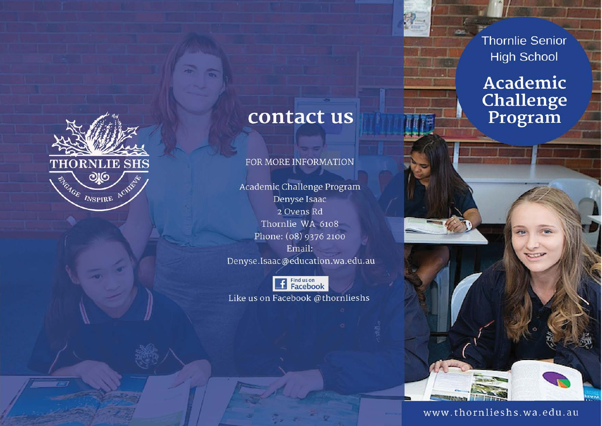

# contact us

## FOR MORE INFORMATION

Academic Challenge Program Denyse Isaac 2 Ovens Rd Thornlie WA 6108 Phone: (08) 9376 2100 Email: Denyse.Isaac@education.wa.edu.au



Like us on Facebook @thornlieshs

**Thornlie Senior High School** 

# Academic Challenge Program